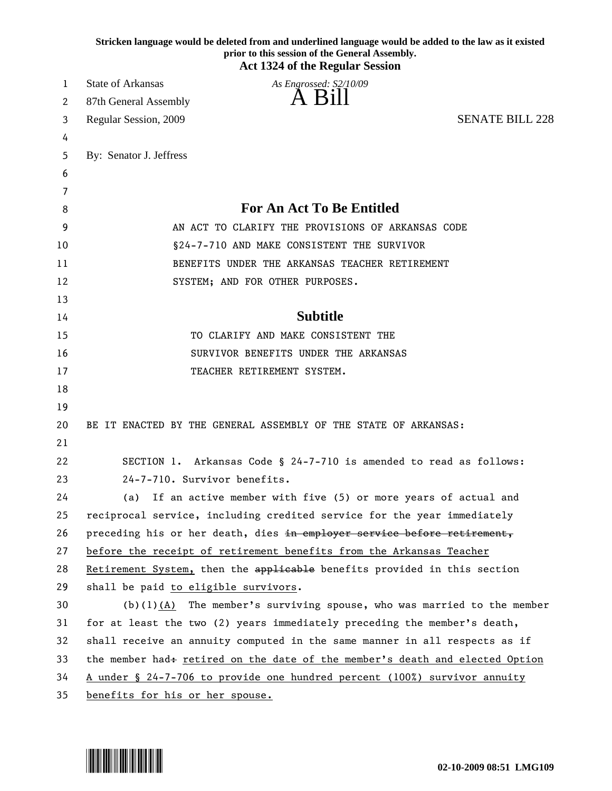|          | Stricken language would be deleted from and underlined language would be added to the law as it existed<br>prior to this session of the General Assembly.<br><b>Act 1324 of the Regular Session</b> |
|----------|-----------------------------------------------------------------------------------------------------------------------------------------------------------------------------------------------------|
| 1        | <b>State of Arkansas</b><br>As Engrossed: S2/10/09                                                                                                                                                  |
| 2        | 87th General Assembly                                                                                                                                                                               |
| 3        | <b>SENATE BILL 228</b><br>Regular Session, 2009                                                                                                                                                     |
| 4        |                                                                                                                                                                                                     |
| 5        | By: Senator J. Jeffress                                                                                                                                                                             |
| 6        |                                                                                                                                                                                                     |
| 7        |                                                                                                                                                                                                     |
| 8        | <b>For An Act To Be Entitled</b>                                                                                                                                                                    |
| 9        | AN ACT TO CLARIFY THE PROVISIONS OF ARKANSAS CODE                                                                                                                                                   |
| 10       | §24-7-710 AND MAKE CONSISTENT THE SURVIVOR                                                                                                                                                          |
| 11       | BENEFITS UNDER THE ARKANSAS TEACHER RETIREMENT                                                                                                                                                      |
| 12       | SYSTEM; AND FOR OTHER PURPOSES.                                                                                                                                                                     |
| 13       |                                                                                                                                                                                                     |
| 14       | <b>Subtitle</b>                                                                                                                                                                                     |
| 15       | TO CLARIFY AND MAKE CONSISTENT THE                                                                                                                                                                  |
| 16       | SURVIVOR BENEFITS UNDER THE ARKANSAS                                                                                                                                                                |
| 17       | TEACHER RETIREMENT SYSTEM.                                                                                                                                                                          |
| 18       |                                                                                                                                                                                                     |
| 19       |                                                                                                                                                                                                     |
| 20<br>21 | BE IT ENACTED BY THE GENERAL ASSEMBLY OF THE STATE OF ARKANSAS:                                                                                                                                     |
| 22       | SECTION 1. Arkansas Code § 24-7-710 is amended to read as follows:                                                                                                                                  |
| 23       | 24-7-710. Survivor benefits.                                                                                                                                                                        |
| 24       | If an active member with five (5) or more years of actual and<br>(a)                                                                                                                                |
| 25       | reciprocal service, including credited service for the year immediately                                                                                                                             |
| 26       | preceding his or her death, dies in employer service before retirement,                                                                                                                             |
| 27       | before the receipt of retirement benefits from the Arkansas Teacher                                                                                                                                 |
| 28       | Retirement System, then the applicable benefits provided in this section                                                                                                                            |
| 29       | shall be paid to eligible survivors.                                                                                                                                                                |
| 30       | $(b)(1)(A)$ The member's surviving spouse, who was married to the member                                                                                                                            |
| 31       | for at least the two (2) years immediately preceding the member's death,                                                                                                                            |
| 32       | shall receive an annuity computed in the same manner in all respects as if                                                                                                                          |
| 33       | the member had+ retired on the date of the member's death and elected Option                                                                                                                        |
| 34       | A under § 24-7-706 to provide one hundred percent (100%) survivor annuity                                                                                                                           |
| 35       | benefits for his or her spouse.                                                                                                                                                                     |

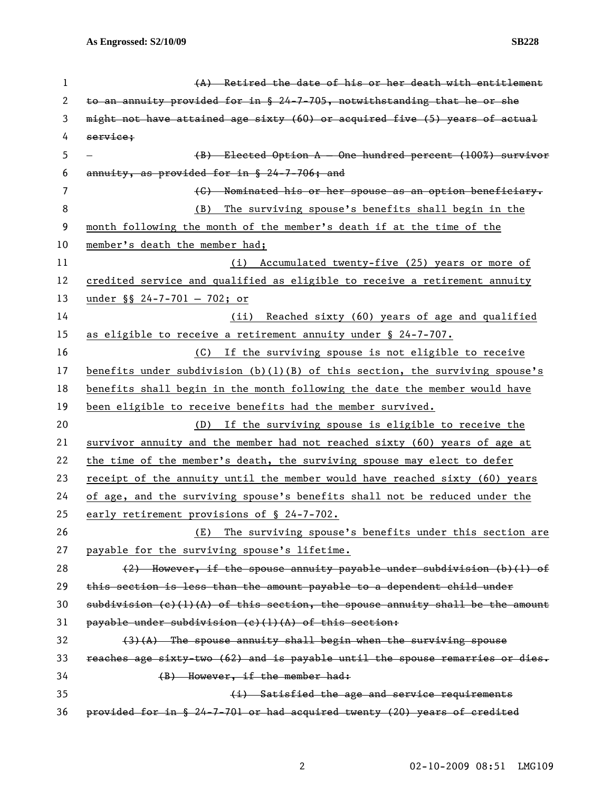| 1  | (A) Retired the date of his or her death with entitlement                       |
|----|---------------------------------------------------------------------------------|
| 2  | to an annuity provided for in § 24-7-705, notwithstanding that he or she        |
| 3  | might not have attained age sixty (60) or acquired five (5) years of actual     |
| 4  | service;                                                                        |
| 5  | (B) Elected Option A - One hundred percent (100%) survivor                      |
| 6  | annuity, as provided for in § 24-7-706; and                                     |
| 7  | (C) Nominated his or her spouse as an option beneficiary.                       |
| 8  | The surviving spouse's benefits shall begin in the<br>(B)                       |
| 9  | month following the month of the member's death if at the time of the           |
| 10 | member's death the member had;                                                  |
| 11 | (i) Accumulated twenty-five (25) years or more of                               |
| 12 | credited service and qualified as eligible to receive a retirement annuity      |
| 13 | under $\S$ 24-7-701 - 702; or                                                   |
| 14 | (ii) Reached sixty (60) years of age and qualified                              |
| 15 | as eligible to receive a retirement annuity under $\S$ 24-7-707.                |
| 16 | If the surviving spouse is not eligible to receive<br>(C)                       |
| 17 | benefits under subdivision $(b)(1)(B)$ of this section, the surviving spouse's  |
| 18 | benefits shall begin in the month following the date the member would have      |
| 19 | been eligible to receive benefits had the member survived.                      |
| 20 | If the surviving spouse is eligible to receive the<br>(D)                       |
| 21 | survivor annuity and the member had not reached sixty (60) years of age at      |
| 22 | the time of the member's death, the surviving spouse may elect to defer         |
| 23 | receipt of the annuity until the member would have reached sixty (60) years     |
| 24 | of age, and the surviving spouse's benefits shall not be reduced under the      |
| 25 | early retirement provisions of § 24-7-702.                                      |
| 26 | The surviving spouse's benefits under this section are<br>(E)                   |
| 27 | payable for the surviving spouse's lifetime.                                    |
| 28 | $(2)$ However, if the spouse annuity payable under subdivision (b)(l) of        |
| 29 | this section is less than the amount payable to a dependent child under         |
| 30 | $subdivision (c)(1)(A)$ of this section, the spouse annuity shall be the amount |
| 31 | payable under subdivision (e)(1)(A) of this section:                            |
| 32 | $(3)$ $(A)$ The spouse annuity shall begin when the surviving spouse            |
| 33 | reaches age sixty-two (62) and is payable until the spouse remarries or dies.   |
| 34 | $(B)$ However, if the member had:                                               |
| 35 | (i) Satisfied the age and service requirements                                  |
| 36 | provided for in § 24-7-701 or had acquired twenty (20) years of credited        |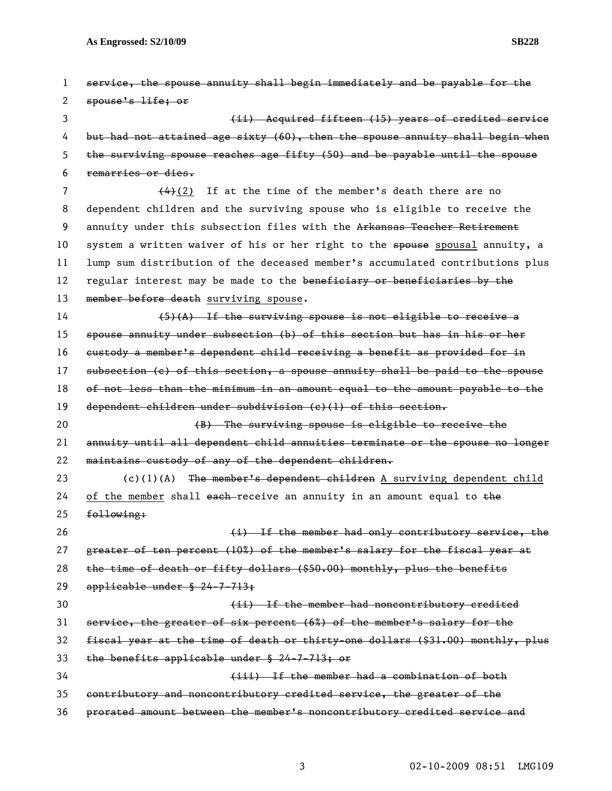| 1  | service, the spouse annuity shall begin immediately and be payable for the     |
|----|--------------------------------------------------------------------------------|
| 2  | spouse's life; or                                                              |
| 3  | (ii) Acquired fifteen (15) years of credited service                           |
| 4  | but had not attained age sixty (60), then the spouse annuity shall begin when  |
| 5  | the surviving spouse reaches age fifty (50) and be payable until the spouse    |
| 6  | remarries or dies.                                                             |
| 7  | $(4)(2)$ If at the time of the member's death there are no                     |
| 8  | dependent children and the surviving spouse who is eligible to receive the     |
| 9  | annuity under this subsection files with the Arkansas Teacher Retirement       |
| 10 | system a written waiver of his or her right to the spouse spousal annuity, a   |
| 11 | lump sum distribution of the deceased member's accumulated contributions plus  |
| 12 | regular interest may be made to the beneficiary or beneficiaries by the        |
| 13 | member before death surviving spouse.                                          |
| 14 | $(5)(A)$ If the surviving spouse is not eligible to receive a                  |
| 15 | spouse annuity under subsection (b) of this section but has in his or her      |
| 16 | eustody a member's dependent child receiving a benefit as provided for in      |
| 17 | subsection (c) of this section, a spouse annuity shall be paid to the spouse   |
| 18 | of not less than the minimum in an amount equal to the amount payable to the   |
| 19 | dependent children under subdivision $(c)$ (1) of this section.                |
| 20 | (B) The surviving spouse is eligible to receive the                            |
| 21 | annuity until all dependent child annuities terminate or the spouse no longer  |
| 22 | maintains custody of any of the dependent children.                            |
| 23 | $(c)(1)(A)$ The member's dependent children A surviving dependent child        |
| 24 | of the member shall each-receive an annuity in an amount equal to the          |
| 25 | following:                                                                     |
| 26 | (i) If the member had only contributory service, the                           |
| 27 | greater of ten percent (10%) of the member's salary for the fiscal year at     |
| 28 | the time of death or fifty dollars (\$50.00) monthly, plus the benefits        |
| 29 | applicable under $$24-7-713$ ;                                                 |
| 30 | (ii) If the member had noncontributory credited                                |
| 31 | service, the greater of six percent (6%) of the member's salary for the        |
| 32 | fiscal year at the time of death or thirty-one dollars (\$31.00) monthly, plus |
| 33 | the benefits applicable under $$24-7-713;$ or                                  |
| 34 | (iii) If the member had a combination of both                                  |
| 35 | contributory and noncontributory credited service, the greater of the          |
| 36 | prorated amount between the member's noncontributory credited service and      |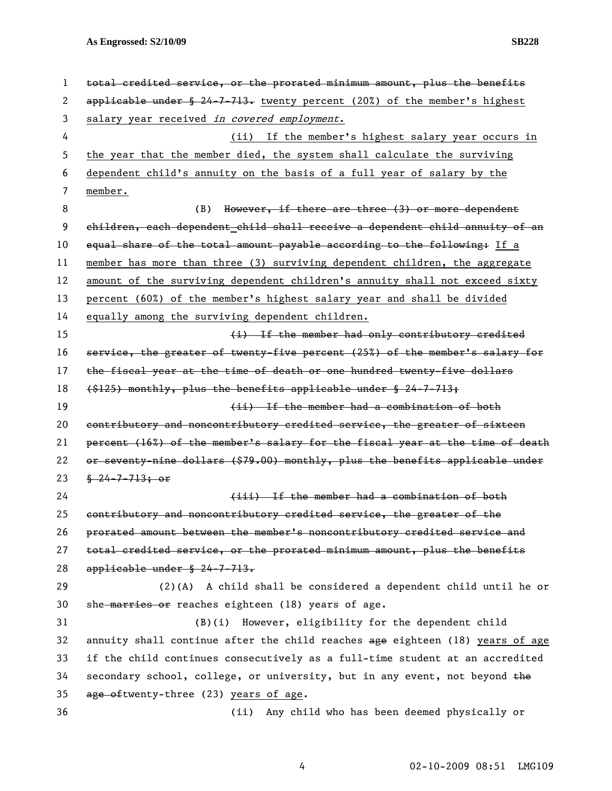**As Engrossed: S2/10/09 SB228** 

| 1  | total credited service, or the prorated minimum amount, plus the benefits     |
|----|-------------------------------------------------------------------------------|
| 2  | $applicable$ under § 24-7-713. twenty percent (20%) of the member's highest   |
| 3  | salary year received in covered employment.                                   |
| 4  | (ii) If the member's highest salary year occurs in                            |
| 5  | the year that the member died, the system shall calculate the surviving       |
| 6  | dependent child's annuity on the basis of a full year of salary by the        |
| 7  | member.                                                                       |
| 8  | However, if there are three (3) or more dependent<br>(B)                      |
| 9  | children, each dependent child shall receive a dependent child annuity of an  |
| 10 | equal share of the total amount payable according to the following: If a      |
| 11 | member has more than three (3) surviving dependent children, the aggregate    |
| 12 | amount of the surviving dependent children's annuity shall not exceed sixty   |
| 13 | percent (60%) of the member's highest salary year and shall be divided        |
| 14 | equally among the surviving dependent children.                               |
| 15 | (i) If the member had only contributory credited                              |
| 16 | service, the greater of twenty-five percent (25%) of the member's salary for  |
| 17 | the fiscal year at the time of death or one hundred twenty-five dollars       |
| 18 | $(1, 2)$ monthly, plus the benefits applicable under § 24-7-713;              |
| 19 | (ii) If the member had a combination of both                                  |
| 20 | contributory and noncontributory credited service, the greater of sixteen     |
| 21 | percent (16%) of the member's salary for the fiscal year at the time of death |
| 22 | or seventy-nine dollars (\$79.00) monthly, plus the benefits applicable under |
| 23 | $\frac{8}{9}$ 24-7-713; or                                                    |
| 24 | (iii) If the member had a combination of both                                 |
| 25 | contributory and noncontributory credited service, the greater of the         |
| 26 | prorated amount between the member's noncontributory credited service and     |
| 27 | total credited service, or the prorated minimum amount, plus the benefits     |
| 28 | applicable under $$24-7-713.$                                                 |
| 29 | $(2)(A)$ A child shall be considered a dependent child until he or            |
| 30 | she marries or reaches eighteen (18) years of age.                            |
| 31 | (B)(i) However, eligibility for the dependent child                           |
| 32 | annuity shall continue after the child reaches age eighteen (18) years of age |
| 33 | if the child continues consecutively as a full-time student at an accredited  |
| 34 | secondary school, college, or university, but in any event, not beyond the    |
| 35 | age of twenty-three (23) years of age.                                        |
| 36 | Any child who has been deemed physically or<br>(ii)                           |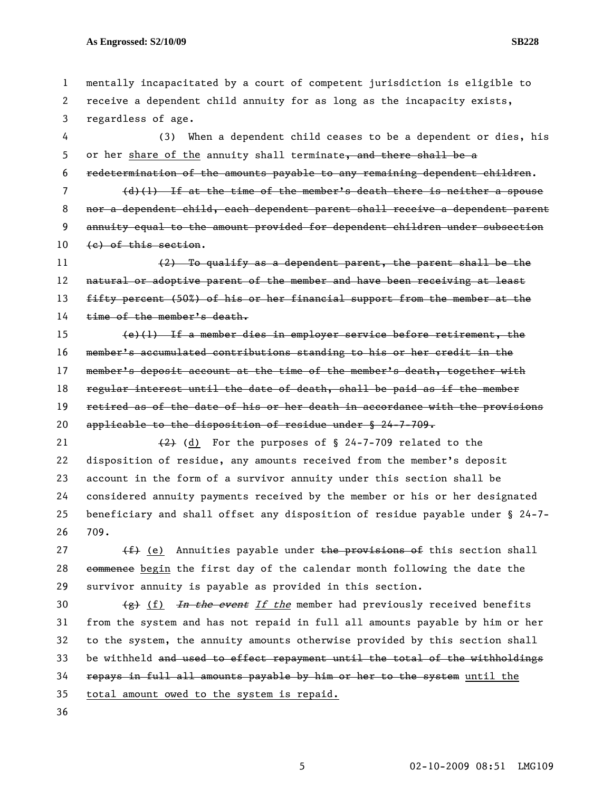## **As Engrossed: S2/10/09 SB228**

1 mentally incapacitated by a court of competent jurisdiction is eligible to 2 receive a dependent child annuity for as long as the incapacity exists, 3 regardless of age.

4 (3) When a dependent child ceases to be a dependent or dies, his 5 or her share of the annuity shall terminate, and there shall be a 6 redetermination of the amounts payable to any remaining dependent children.

7 (d)(1) If at the time of the member's death there is neither a spouse 8 nor a dependent child, each dependent parent shall receive a dependent parent 9 annuity equal to the amount provided for dependent children under subsection 10 (e) of this section.

11 (2) To qualify as a dependent parent, the parent shall be the 12 natural or adoptive parent of the member and have been receiving at least 13 fifty percent (50%) of his or her financial support from the member at the 14 time of the member's death.

15 (e)(1) If a member dies in employer service before retirement, the 16 member's accumulated contributions standing to his or her credit in the 17 member's deposit account at the time of the member's death, together with 18 regular interest until the date of death, shall be paid as if the member 19 retired as of the date of his or her death in accordance with the provisions 20 applicable to the disposition of residue under  $\frac{1}{2}$  24-7-709.

21  $\left(2\right)$  (d) For the purposes of § 24-7-709 related to the 22 disposition of residue, any amounts received from the member's deposit 23 account in the form of a survivor annuity under this section shall be 24 considered annuity payments received by the member or his or her designated 25 beneficiary and shall offset any disposition of residue payable under § 24-7- 26 709.

27  $(f)$  (e) Annuities payable under the provisions of this section shall 28 commence begin the first day of the calendar month following the date the 29 survivor annuity is payable as provided in this section.

30  $(g)$  (f) In the event If the member had previously received benefits 31 from the system and has not repaid in full all amounts payable by him or her 32 to the system, the annuity amounts otherwise provided by this section shall 33 be withheld and used to effect repayment until the total of the withholdings 34 repays in full all amounts payable by him or her to the system until the 35 total amount owed to the system is repaid.

36